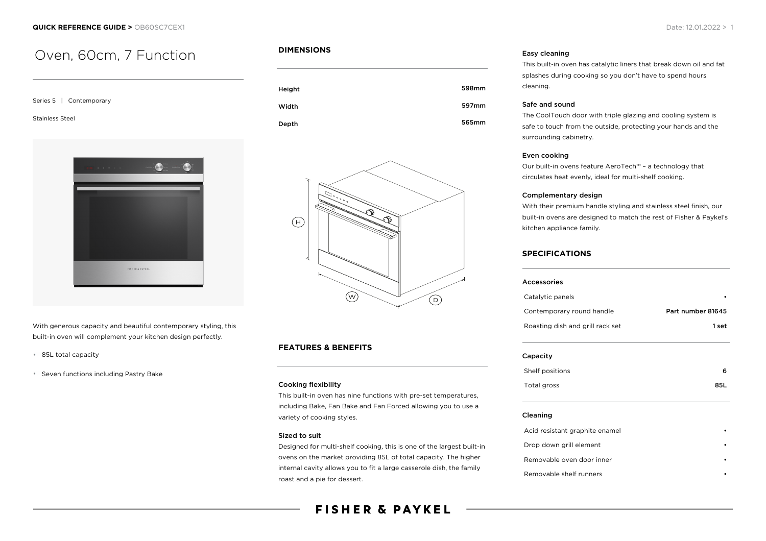# Oven, 60cm, 7 Function

| Series 5   Contemporary                     |
|---------------------------------------------|
| <b>Stainless Steel</b>                      |
| ia in la<br>٠<br><b>FISHER &amp; PAYKEL</b> |
|                                             |

With generous capacity and beautiful contemporary styling, this built-in oven will complement your kitchen design perfectly.

- 85L total capacity
- Seven functions including Pastry Bake

# **DIMENSIONS**





# **FEATURES & BENEFITS**

#### Cooking flexibility

This built-in oven has nine functions with pre-set temperatures, including Bake, Fan Bake and Fan Forced allowing you to use a variety of cooking styles.

#### Sized to suit

Designed for multi-shelf cooking, this is one of the largest built-in ovens on the market providing 85L of total capacity. The higher internal cavity allows you to fit a large casserole dish, the family roast and a pie for dessert.

# Easy cleaning

This built-in oven has catalytic liners that break down oil and fat splashes during cooking so you don't have to spend hours cleaning.

#### Safe and sound

The CoolTouch door with triple glazing and cooling system is safe to touch from the outside, protecting your hands and the surrounding cabinetry.

#### Even cooking

Our built-in ovens feature AeroTech™ – a technology that circulates heat evenly, ideal for multi-shelf cooking.

#### Complementary design

With their premium handle styling and stainless steel finish, our built-in ovens are designed to match the rest of Fisher & Paykel's kitchen appliance family.

## **SPECIFICATIONS**

| Accessories                      |                   |
|----------------------------------|-------------------|
| Catalytic panels                 |                   |
| Contemporary round handle        | Part number 81645 |
| Roasting dish and grill rack set | 1 set             |
| Capacity                         |                   |
| Shelf positions                  | 6                 |
| Total gross                      | 85L               |
| Cleaning                         |                   |
| Acid resistant graphite enamel   |                   |
| Drop down grill element          |                   |
| Removable oven door inner        |                   |

### Removable shelf runners •

# **FISHER & PAYKEL**